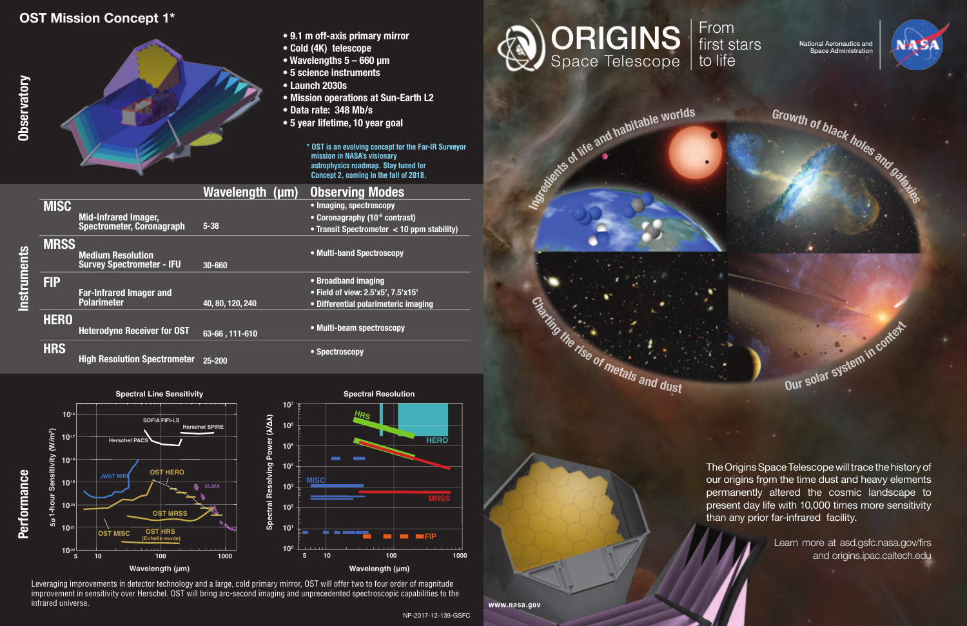The Origins Space Telescope will trace the history of our origins from the time dust and heavy elements permanently altered the cosmic landscape to present day life with 10,000 times more sensitivity than any prior far-infrared facility.

> Learn more at asd.gsfc.nasa.gov/firs and origins.ipac.caltech.edu

## **OST Mission Concept 1\***



- **9.1 m off-axis primary mirror**
- **Cold (4K) telescope**
- **Wavelengths 5 660 μm**
- **5 science instruments**
- **Launch 2030s**
- **Mission operations at Sun-Earth L2**
- **Data rate: 348 Mb/s**
- **5 year lifetime, 10 year goal**

**\* OST is an evolving concept for the Far-IR Surveyor mission in NASA's visionary astrophysics roadmap. Stay tuned for Concept 2, coming in the fall of 2018.**



|           |             |                                     | Wavelength (µm)  | <b>Observing Modes</b>                     |
|-----------|-------------|-------------------------------------|------------------|--------------------------------------------|
|           | <b>MISC</b> |                                     |                  | • Imaging, spectroscopy                    |
|           |             | <b>Mid-Infrared Imager,</b>         |                  | • Coronagraphy (10 <sup>-6</sup> contrast) |
|           |             | <b>Spectrometer, Coronagraph</b>    | $5 - 38$         | • Transit Spectrometer < 10 ppm stability) |
|           | <b>MRSS</b> |                                     |                  |                                            |
|           |             | <b>Medium Resolution</b>            |                  | • Multi-band Spectroscopy                  |
| struments |             | <b>Survey Spectrometer - IFU</b>    | 30-660           |                                            |
|           | <b>FIP</b>  |                                     |                  | • Broadband imaging                        |
|           |             | <b>Far-Infrared Imager and</b>      |                  | • Field of view: 2.5'x5', 7.5'x15'         |
|           |             | <b>Polarimeter</b>                  | 40, 80, 120, 240 | • Differential polarimeteric imaging       |
|           | <b>HERO</b> |                                     |                  |                                            |
|           |             | <b>Heterodyne Receiver for OST</b>  | 63-66, 111-610   | • Multi-beam spectroscopy                  |
|           | <b>HRS</b>  |                                     |                  | • Spectroscopy                             |
|           |             | <b>High Resolution Spectrometer</b> | 25-200           |                                            |

Leveraging improvements in detector technology and a large, cold primary mirror, OST will offer two to four order of magnitude improvement in sensitivity over Herschel. OST will bring arc-second imaging and unprecedented spectroscopic capabilities to the infrared universe.



Wavelength (µm)



**<sup>O</sup>u<sup>r</sup> <sup>s</sup>ola<sup>r</sup> <sup>s</sup>yste<sup>m</sup> <sup>i</sup><sup>n</sup> <sup>c</sup>ontex<sup>t</sup>**



Growth of black holes and habitable worlds Growth of black holes and ball

## From first stars to life



**HERO**

**<sup>H</sup>RS**

**MRSS**

n an an a

**FIP** 

**Spectral Resolution**

NP-2017-12-139-GSFC